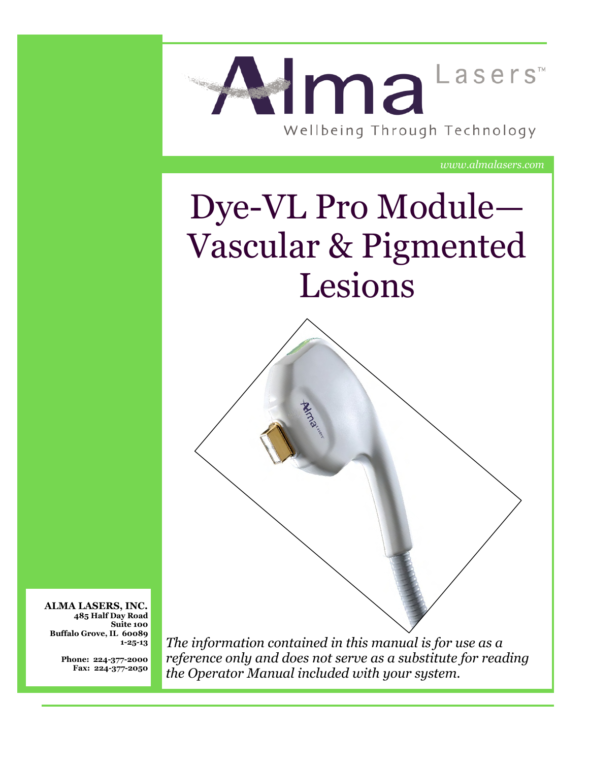

*www.almalasers.com*

# Dye-VL Pro Module— Vascular & Pigmented Lesions



**ALMA LASERS, INC. 485 Half Day Road Suite 100 Buffalo Grove, IL 60089 1-25-13**

> **Phone: 224-377-2000 Fax: 224-377-2050**

*The information contained in this manual is for use as a reference only and does not serve as a substitute for reading the Operator Manual included with your system.*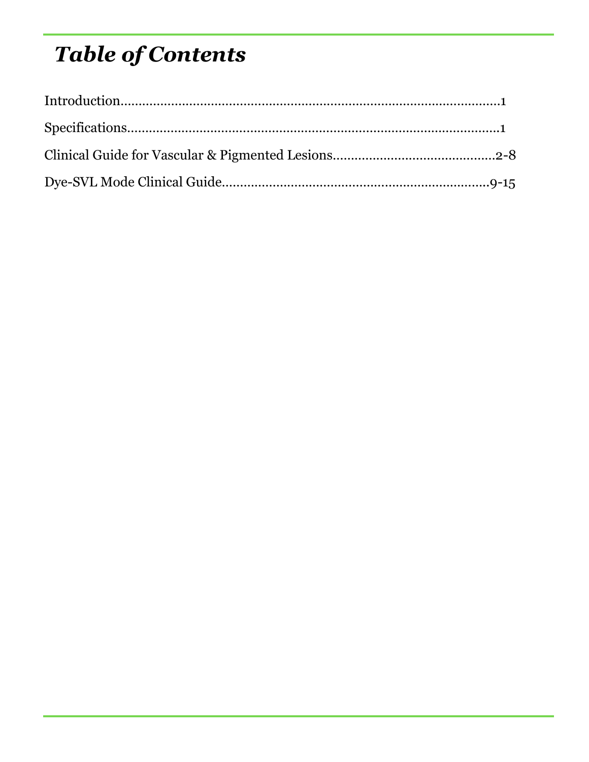## *Table of Contents*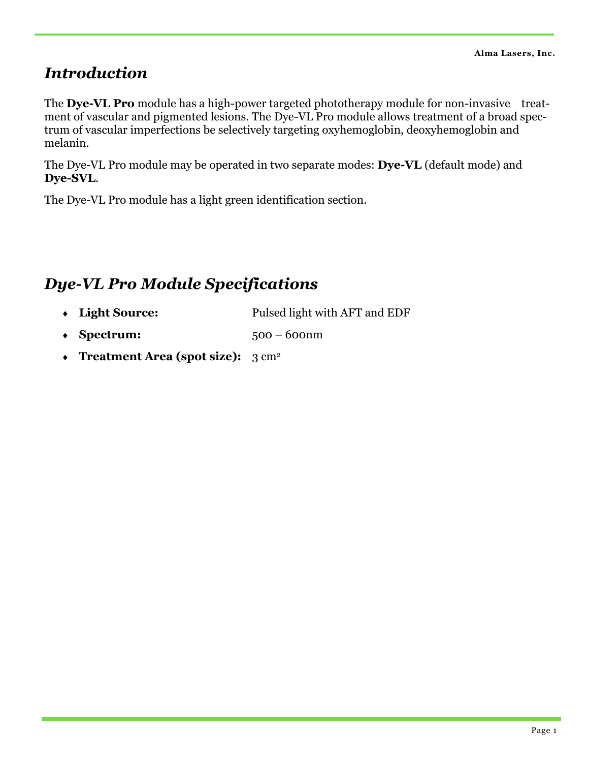#### *Introduction*

The **Dye-VL Pro** module has a high-power targeted phototherapy module for non-invasive treatment of vascular and pigmented lesions. The Dye-VL Pro module allows treatment of a broad spectrum of vascular imperfections be selectively targeting oxyhemoglobin, deoxyhemoglobin and melanin.

The Dye-VL Pro module may be operated in two separate modes: **Dye-VL** (default mode) and **Dye-SVL**.

The Dye-VL Pro module has a light green identification section.

## *Dye-VL Pro Module Specifications*

- **Light Source:** Pulsed light with AFT and EDF
- **Spectrum:** 500 500 mm
- ◆ Treatment Area (spot size): 3 cm<sup>2</sup>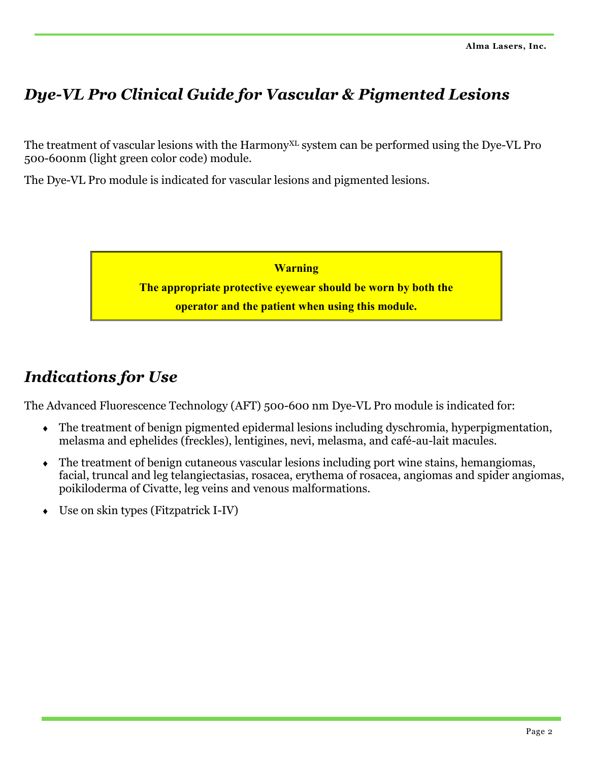## *Dye-VL Pro Clinical Guide for Vascular & Pigmented Lesions*

The treatment of vascular lesions with the Harmony<sup>XL</sup> system can be performed using the Dye-VL Pro 500-600nm (light green color code) module.

The Dye-VL Pro module is indicated for vascular lesions and pigmented lesions.



## *Indications for Use*

The Advanced Fluorescence Technology (AFT) 500-600 nm Dye-VL Pro module is indicated for:

- The treatment of benign pigmented epidermal lesions including dyschromia, hyperpigmentation, melasma and ephelides (freckles), lentigines, nevi, melasma, and café-au-lait macules.
- The treatment of benign cutaneous vascular lesions including port wine stains, hemangiomas, facial, truncal and leg telangiectasias, rosacea, erythema of rosacea, angiomas and spider angiomas, poikiloderma of Civatte, leg veins and venous malformations.
- Use on skin types (Fitzpatrick I-IV)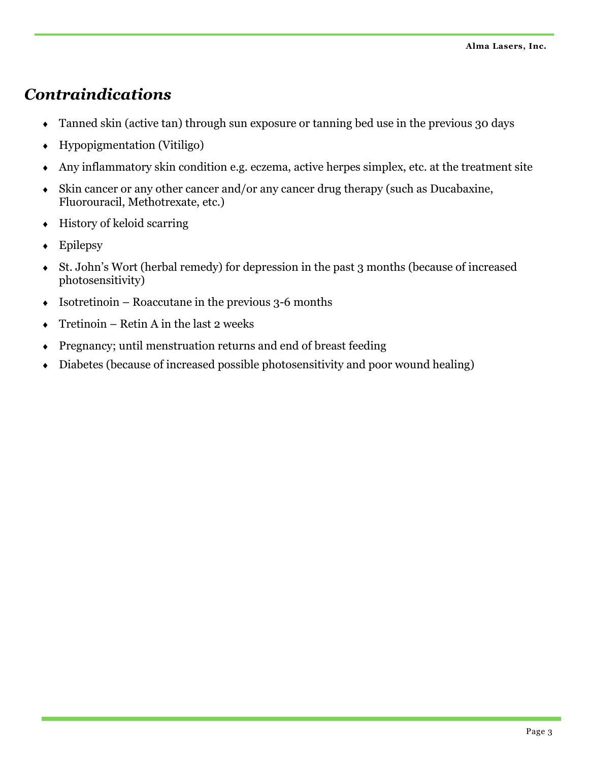## *Contraindications*

- Tanned skin (active tan) through sun exposure or tanning bed use in the previous 30 days
- Hypopigmentation (Vitiligo)
- Any inflammatory skin condition e.g. eczema, active herpes simplex, etc. at the treatment site
- Skin cancer or any other cancer and/or any cancer drug therapy (such as Ducabaxine, Fluorouracil, Methotrexate, etc.)
- $\leftrightarrow$  History of keloid scarring
- Epilepsy
- St. John's Wort (herbal remedy) for depression in the past 3 months (because of increased photosensitivity)
- $\bullet$  Isotretinoin Roaccutane in the previous 3-6 months
- $\overline{\bullet}$  Tretinoin Retin A in the last 2 weeks
- Pregnancy; until menstruation returns and end of breast feeding
- Diabetes (because of increased possible photosensitivity and poor wound healing)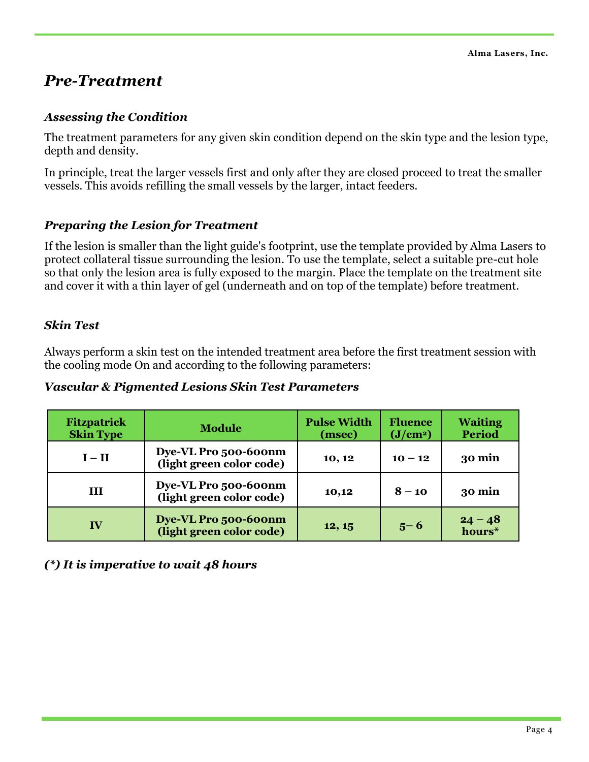#### *Pre-Treatment*

#### *Assessing the Condition*

The treatment parameters for any given skin condition depend on the skin type and the lesion type, depth and density.

In principle, treat the larger vessels first and only after they are closed proceed to treat the smaller vessels. This avoids refilling the small vessels by the larger, intact feeders.

#### *Preparing the Lesion for Treatment*

If the lesion is smaller than the light guide's footprint, use the template provided by Alma Lasers to protect collateral tissue surrounding the lesion. To use the template, select a suitable pre-cut hole so that only the lesion area is fully exposed to the margin. Place the template on the treatment site and cover it with a thin layer of gel (underneath and on top of the template) before treatment.

#### *Skin Test*

Always perform a skin test on the intended treatment area before the first treatment session with the cooling mode On and according to the following parameters:

#### *Vascular & Pigmented Lesions Skin Test Parameters*

| Fitzpatrick<br><b>Skin Type</b> | <b>Module</b>                                    | <b>Pulse Width</b><br>(msec) | <b>Fluence</b><br>(J/cm <sup>2</sup> ) | <b>Waiting</b><br>Period |
|---------------------------------|--------------------------------------------------|------------------------------|----------------------------------------|--------------------------|
| $I - II$                        | Dye-VL Pro 500-600nm<br>(light green color code) | 10, 12                       | $10 - 12$                              | 30 min                   |
| Ш                               | Dye-VL Pro 500-600nm<br>(light green color code) | 10,12                        | $8 - 10$                               | 30 min                   |
| IV                              | Dye-VL Pro 500-600nm<br>(light green color code) | 12, 15                       | $5 - 6$                                | $24 - 48$<br>hours*      |

*(\*) It is imperative to wait 48 hours*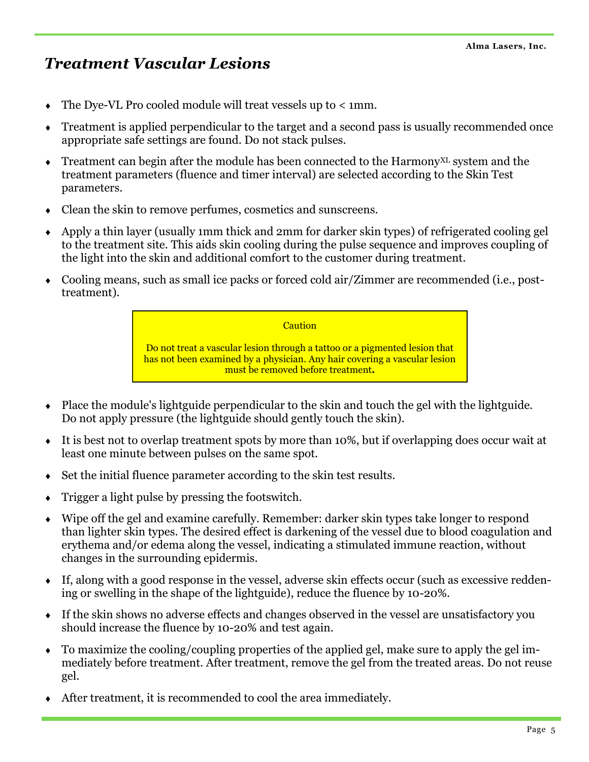## *Treatment Vascular Lesions*

- The Dye-VL Pro cooled module will treat vessels up to < 1mm.
- Treatment is applied perpendicular to the target and a second pass is usually recommended once appropriate safe settings are found. Do not stack pulses.
- $\bullet$  Treatment can begin after the module has been connected to the Harmony<sup>XL</sup> system and the treatment parameters (fluence and timer interval) are selected according to the Skin Test parameters.
- Clean the skin to remove perfumes, cosmetics and sunscreens.
- Apply a thin layer (usually 1mm thick and 2mm for darker skin types) of refrigerated cooling gel to the treatment site. This aids skin cooling during the pulse sequence and improves coupling of the light into the skin and additional comfort to the customer during treatment.
- Cooling means, such as small ice packs or forced cold air/Zimmer are recommended (i.e., posttreatment).

**Caution** 

Do not treat a vascular lesion through a tattoo or a pigmented lesion that has not been examined by a physician. Any hair covering a vascular lesion must be removed before treatment*.*

- Place the module's lightguide perpendicular to the skin and touch the gel with the lightguide. Do not apply pressure (the lightguide should gently touch the skin).
- It is best not to overlap treatment spots by more than 10%, but if overlapping does occur wait at least one minute between pulses on the same spot.
- $\bullet$  Set the initial fluence parameter according to the skin test results.
- Trigger a light pulse by pressing the footswitch.
- Wipe off the gel and examine carefully. Remember: darker skin types take longer to respond than lighter skin types. The desired effect is darkening of the vessel due to blood coagulation and erythema and/or edema along the vessel, indicating a stimulated immune reaction, without changes in the surrounding epidermis.
- If, along with a good response in the vessel, adverse skin effects occur (such as excessive reddening or swelling in the shape of the lightguide), reduce the fluence by 10-20%.
- If the skin shows no adverse effects and changes observed in the vessel are unsatisfactory you should increase the fluence by 10-20% and test again.
- To maximize the cooling/coupling properties of the applied gel, make sure to apply the gel immediately before treatment. After treatment, remove the gel from the treated areas. Do not reuse gel.
- After treatment, it is recommended to cool the area immediately.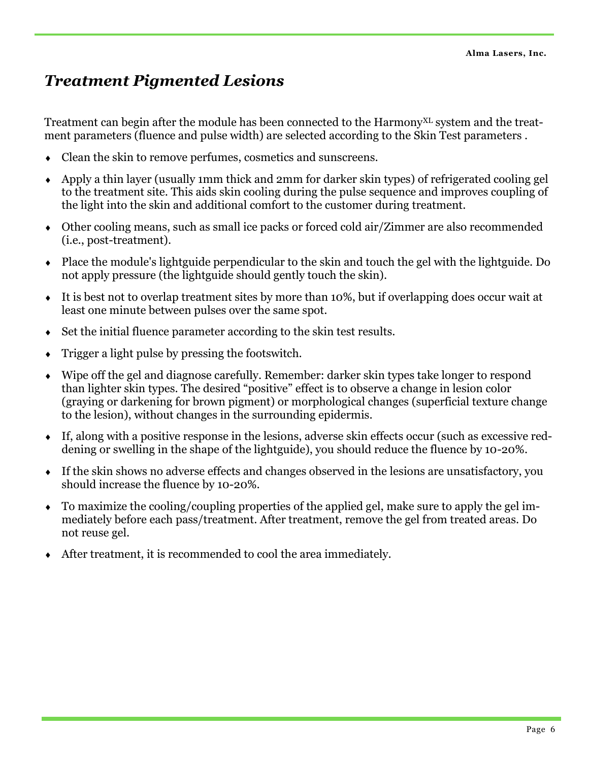## *Treatment Pigmented Lesions*

Treatment can begin after the module has been connected to the Harmony<sup>XL</sup> system and the treatment parameters (fluence and pulse width) are selected according to the Skin Test parameters .

- Clean the skin to remove perfumes, cosmetics and sunscreens.
- Apply a thin layer (usually 1mm thick and 2mm for darker skin types) of refrigerated cooling gel to the treatment site. This aids skin cooling during the pulse sequence and improves coupling of the light into the skin and additional comfort to the customer during treatment.
- Other cooling means, such as small ice packs or forced cold air/Zimmer are also recommended (i.e., post-treatment).
- Place the module's lightguide perpendicular to the skin and touch the gel with the lightguide. Do not apply pressure (the lightguide should gently touch the skin).
- It is best not to overlap treatment sites by more than 10%, but if overlapping does occur wait at least one minute between pulses over the same spot.
- Set the initial fluence parameter according to the skin test results.
- Trigger a light pulse by pressing the footswitch.
- Wipe off the gel and diagnose carefully. Remember: darker skin types take longer to respond than lighter skin types. The desired "positive" effect is to observe a change in lesion color (graying or darkening for brown pigment) or morphological changes (superficial texture change to the lesion), without changes in the surrounding epidermis.
- If, along with a positive response in the lesions, adverse skin effects occur (such as excessive reddening or swelling in the shape of the lightguide), you should reduce the fluence by 10-20%.
- If the skin shows no adverse effects and changes observed in the lesions are unsatisfactory, you should increase the fluence by 10-20%.
- To maximize the cooling/coupling properties of the applied gel, make sure to apply the gel immediately before each pass/treatment. After treatment, remove the gel from treated areas. Do not reuse gel.
- After treatment, it is recommended to cool the area immediately.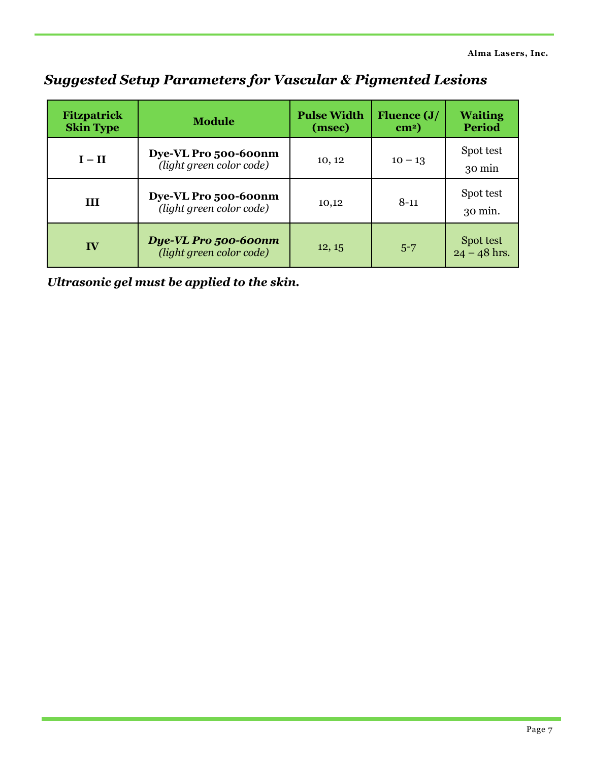| <b>Fitzpatrick</b><br><b>Skin Type</b> | <b>Module</b>                                    | <b>Pulse Width</b><br>(msec) | <b>Fluence (J/</b><br>$\text{cm}^2$ ) | <b>Waiting</b><br><b>Period</b> |
|----------------------------------------|--------------------------------------------------|------------------------------|---------------------------------------|---------------------------------|
| $I - II$                               | Dye-VL Pro 500-600nm<br>(light green color code) | 10, 12                       | $10 - 13$                             | Spot test<br>30 min             |
| III                                    | Dye-VL Pro 500-600nm<br>(light green color code) | 10,12                        | $8 - 11$                              | Spot test<br>$30 \text{ min.}$  |
| IV                                     | Dye-VL Pro 500-600nm<br>(light green color code) | 12, 15                       | $5 - 7$                               | Spot test<br>$24 - 48$ hrs.     |

#### *Suggested Setup Parameters for Vascular & Pigmented Lesions*

*Ultrasonic gel must be applied to the skin.*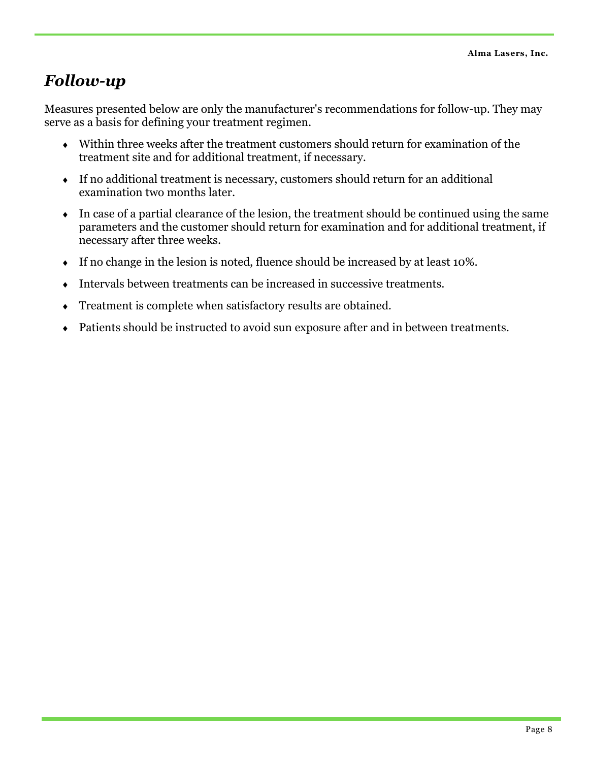## *Follow-up*

Measures presented below are only the manufacturer's recommendations for follow-up. They may serve as a basis for defining your treatment regimen.

- Within three weeks after the treatment customers should return for examination of the treatment site and for additional treatment, if necessary.
- If no additional treatment is necessary, customers should return for an additional examination two months later.
- $\bullet$  In case of a partial clearance of the lesion, the treatment should be continued using the same parameters and the customer should return for examination and for additional treatment, if necessary after three weeks.
- If no change in the lesion is noted, fluence should be increased by at least 10%.
- Intervals between treatments can be increased in successive treatments.
- Treatment is complete when satisfactory results are obtained.
- Patients should be instructed to avoid sun exposure after and in between treatments.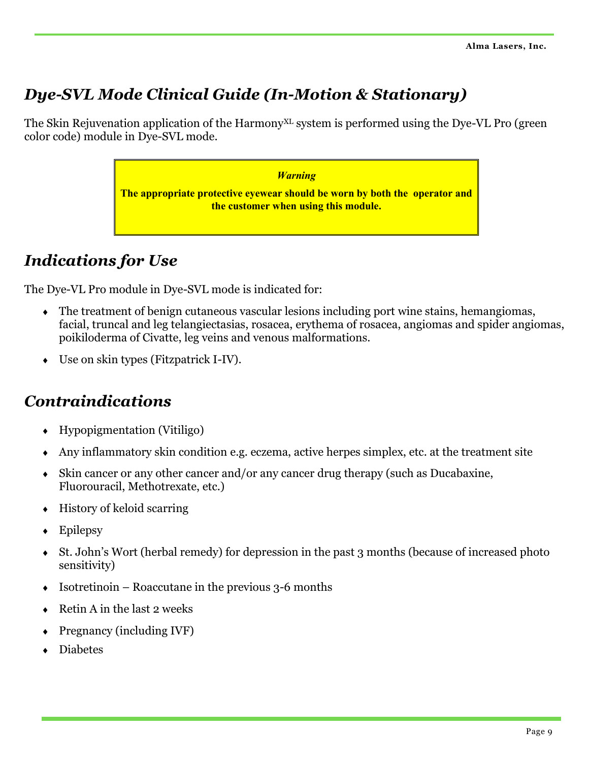## *Dye-SVL Mode Clinical Guide (In-Motion & Stationary)*

The Skin Rejuvenation application of the Harmony<sup>XL</sup> system is performed using the Dye-VL Pro (green color code) module in Dye-SVL mode.

> *Warning* **The appropriate protective eyewear should be worn by both the operator and the customer when using this module.**

## *Indications for Use*

The Dye-VL Pro module in Dye-SVL mode is indicated for:

- The treatment of benign cutaneous vascular lesions including port wine stains, hemangiomas, facial, truncal and leg telangiectasias, rosacea, erythema of rosacea, angiomas and spider angiomas, poikiloderma of Civatte, leg veins and venous malformations.
- Use on skin types (Fitzpatrick I-IV).

## *Contraindications*

- Hypopigmentation (Vitiligo)
- Any inflammatory skin condition e.g. eczema, active herpes simplex, etc. at the treatment site
- Skin cancer or any other cancer and/or any cancer drug therapy (such as Ducabaxine, Fluorouracil, Methotrexate, etc.)
- $\leftrightarrow$  History of keloid scarring
- Epilepsy
- St. John's Wort (herbal remedy) for depression in the past 3 months (because of increased photo sensitivity)
- $\bullet$  Isotretinoin Roaccutane in the previous 3-6 months
- Retin A in the last 2 weeks
- $\leftarrow$  Pregnancy (including IVF)
- Diabetes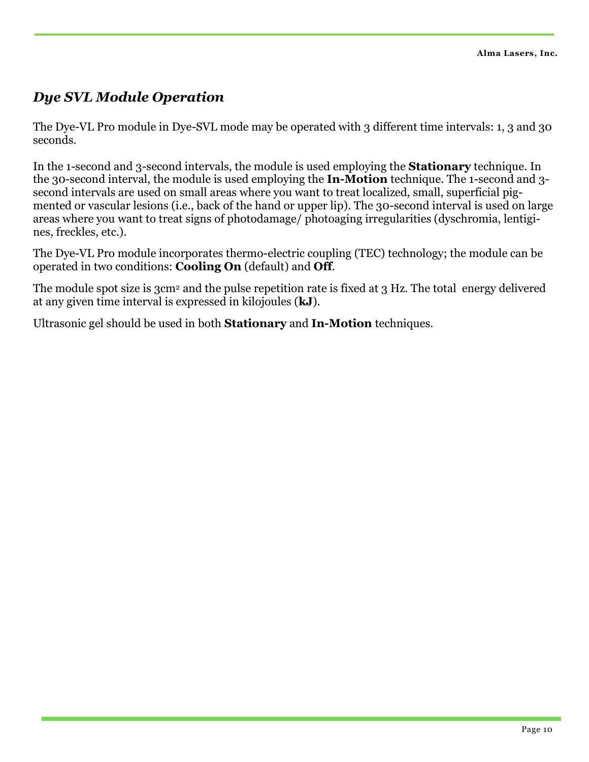#### *Dye SVL Module Operation*

The Dve-VL Pro module in Dve-SVL mode may be operated with 3 different time intervals: 1, 3 and 30 seconds.

In the 1-second and 3-second intervals, the module is used employing the **Stationary** technique. In the 30-second interval, the module is used employing the **In-Motion** technique. The 1-second and 3 second intervals are used on small areas where you want to treat localized, small, superficial pigmented or vascular lesions (i.e., back of the hand or upper lip). The 30-second interval is used on large areas where you want to treat signs of photodamage/ photoaging irregularities (dyschromia, lentigines, freckles, etc.).

The Dye-VL Pro module incorporates thermo-electric coupling (TEC) technology; the module can be operated in two conditions: **Cooling On** (default) and **Off**.

The module spot size is 3cm<sup>2</sup> and the pulse repetition rate is fixed at 3 Hz. The total energy delivered at any given time interval is expressed in kilojoules (**kJ**).

Ultrasonic gel should be used in both **Stationary** and **In-Motion** techniques*.*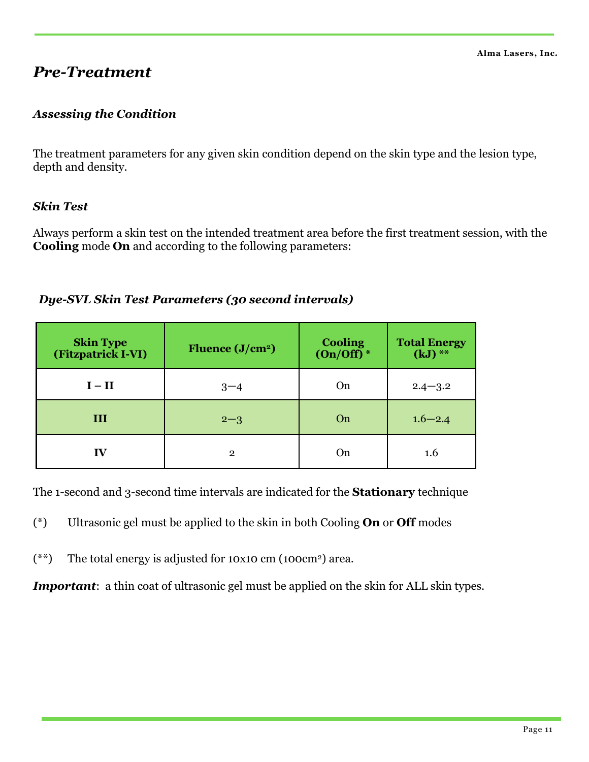#### *Pre-Treatment*

#### *Assessing the Condition*

The treatment parameters for any given skin condition depend on the skin type and the lesion type, depth and density.

#### *Skin Test*

Always perform a skin test on the intended treatment area before the first treatment session, with the **Cooling** mode **On** and according to the following parameters:

#### *Dye-SVL Skin Test Parameters (30 second intervals)*

| <b>Skin Type</b><br>(Fitzpatrick I-VI) | Fluence $(J/cm2)$ | <b>Cooling</b><br>$(On/Off)$ <sup>*</sup> | <b>Total Energy</b><br>$(kJ)$ ** |
|----------------------------------------|-------------------|-------------------------------------------|----------------------------------|
| $I - II$                               | $3 - 4$           | On                                        | $2.4 - 3.2$                      |
| III                                    | $2 - 3$           | On                                        | $1.6 - 2.4$                      |
| IV                                     | $\mathbf{2}$      | On                                        | 1.6                              |

The 1-second and 3-second time intervals are indicated for the **Stationary** technique

- (\*) Ultrasonic gel must be applied to the skin in both Cooling **On** or **Off** modes
- (\*\*) The total energy is adjusted for 10x10 cm (100cm2) area.

*Important*: a thin coat of ultrasonic gel must be applied on the skin for ALL skin types.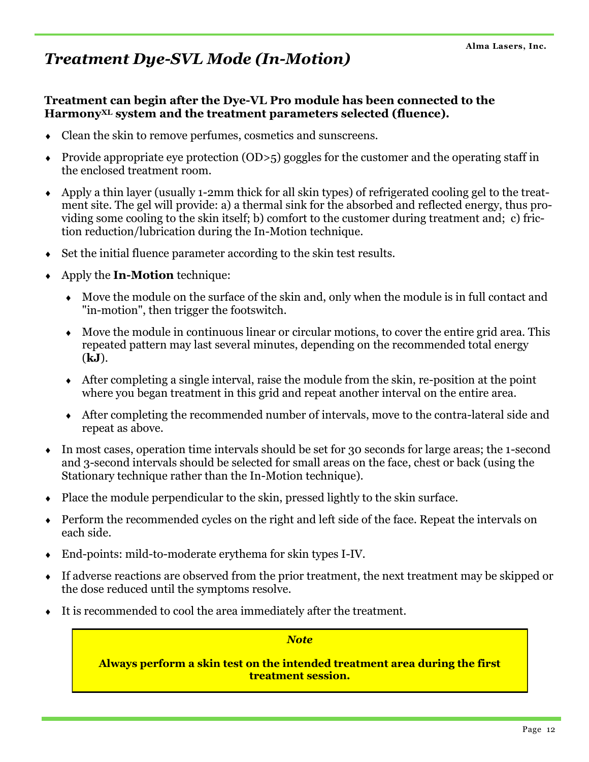## *Treatment Dye-SVL Mode (In-Motion)*

#### **Treatment can begin after the Dye-VL Pro module has been connected to the HarmonyXL system and the treatment parameters selected (fluence).**

- Clean the skin to remove perfumes, cosmetics and sunscreens.
- Provide appropriate eye protection  $(OD>5)$  goggles for the customer and the operating staff in the enclosed treatment room.
- Apply a thin layer (usually 1-2mm thick for all skin types) of refrigerated cooling gel to the treatment site. The gel will provide: a) a thermal sink for the absorbed and reflected energy, thus providing some cooling to the skin itself; b) comfort to the customer during treatment and; c) friction reduction/lubrication during the In-Motion technique.
- Set the initial fluence parameter according to the skin test results.
- Apply the **In-Motion** technique:
	- Move the module on the surface of the skin and, only when the module is in full contact and "in-motion", then trigger the footswitch.
	- Move the module in continuous linear or circular motions, to cover the entire grid area. This repeated pattern may last several minutes, depending on the recommended total energy (**kJ**).
	- After completing a single interval, raise the module from the skin, re-position at the point where you began treatment in this grid and repeat another interval on the entire area.
	- After completing the recommended number of intervals, move to the contra-lateral side and repeat as above.
- In most cases, operation time intervals should be set for 30 seconds for large areas; the 1-second and 3-second intervals should be selected for small areas on the face, chest or back (using the Stationary technique rather than the In-Motion technique).
- Place the module perpendicular to the skin, pressed lightly to the skin surface.
- Perform the recommended cycles on the right and left side of the face. Repeat the intervals on each side.
- End-points: mild-to-moderate erythema for skin types I-IV.
- If adverse reactions are observed from the prior treatment, the next treatment may be skipped or the dose reduced until the symptoms resolve.
- It is recommended to cool the area immediately after the treatment.

*Note*

**Always perform a skin test on the intended treatment area during the first treatment session.**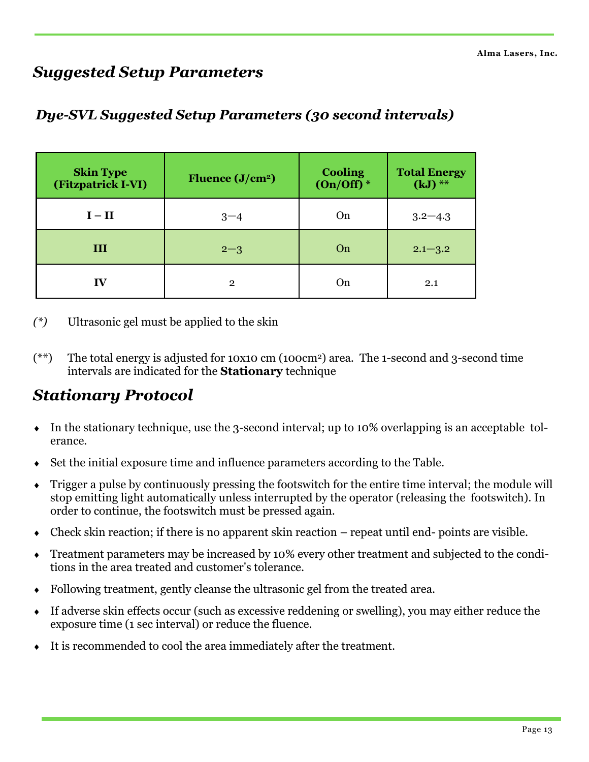## *Suggested Setup Parameters*

| <b>Skin Type</b><br>(Fitzpatrick I-VI) | Fluence $(J/cm2)$ | <b>Cooling</b><br>$(On/Off)^*$ | <b>Total Energy</b><br>$(kJ)$ ** |
|----------------------------------------|-------------------|--------------------------------|----------------------------------|
| $I - II$                               | $3 - 4$           | On                             | $3.2 - 4.3$                      |
| III                                    | $2 - 3$           | On                             | $2.1 - 3.2$                      |
| IV                                     | $\mathbf{2}$      | On                             | 2.1                              |

#### *Dye-SVL Suggested Setup Parameters (30 second intervals)*

*(\*)* Ultrasonic gel must be applied to the skin

(\*\*) The total energy is adjusted for 10x10 cm (100cm2) area. The 1-second and 3-second time intervals are indicated for the **Stationary** technique

#### *Stationary Protocol*

- In the stationary technique, use the 3-second interval; up to 10% overlapping is an acceptable tolerance.
- Set the initial exposure time and influence parameters according to the Table.
- Trigger a pulse by continuously pressing the footswitch for the entire time interval; the module will stop emitting light automatically unless interrupted by the operator (releasing the footswitch). In order to continue, the footswitch must be pressed again.
- Check skin reaction; if there is no apparent skin reaction repeat until end- points are visible.
- Treatment parameters may be increased by 10% every other treatment and subjected to the conditions in the area treated and customer's tolerance.
- Following treatment, gently cleanse the ultrasonic gel from the treated area.
- $\bullet$  If adverse skin effects occur (such as excessive reddening or swelling), you may either reduce the exposure time (1 sec interval) or reduce the fluence.
- It is recommended to cool the area immediately after the treatment.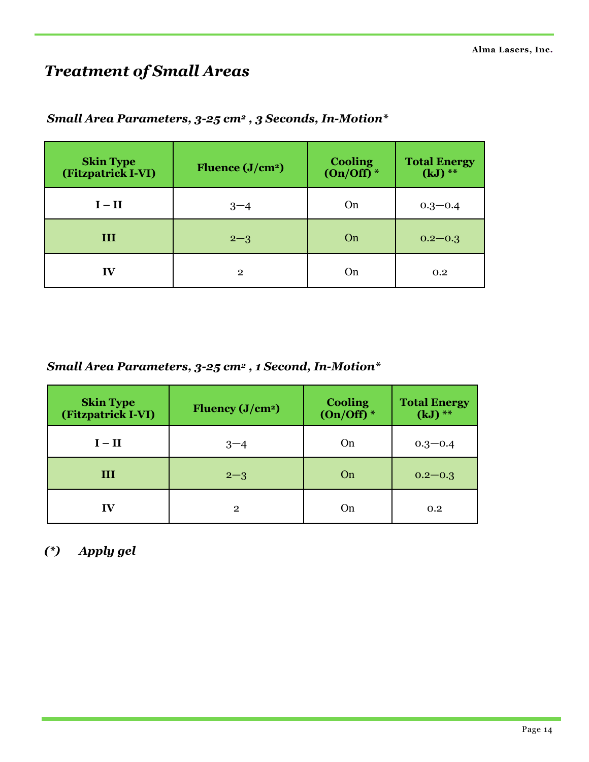## *Treatment of Small Areas*

| <b>Skin Type</b><br>(Fitzpatrick I-VI) | Fluence $(J/cm2)$ | Cooling<br>(On/Off)* | <b>Total Energy</b><br>$(kJ)$ ** |
|----------------------------------------|-------------------|----------------------|----------------------------------|
| $I - II$                               | $3 - 4$           | On                   | $0.3 - 0.4$                      |
| III                                    | $2 - 3$           | On                   | $0.2 - 0.3$                      |
| IV                                     | $\mathbf{2}$      | On                   | 0.2                              |

#### *Small Area Parameters, 3-25 cm<sup>2</sup> , 3 Seconds, In-Motion\**

*Small Area Parameters, 3-25 cm<sup>2</sup> , 1 Second, In-Motion\**

| <b>Skin Type</b><br>(Fitzpatrick I-VI) | Fluency $(J/cm2)$ | <b>Cooling</b><br>$(On/Off)^*$ | <b>Total Energy</b><br>$(kJ)$ ** |
|----------------------------------------|-------------------|--------------------------------|----------------------------------|
| $I - II$                               | $3 - 4$           | On                             | $0.3 - 0.4$                      |
| III                                    | $2 - 3$           | On                             | $0.2 - 0.3$                      |
| IV                                     | $\mathbf{2}$      | On                             | 0.2                              |

*(\*) Apply gel*